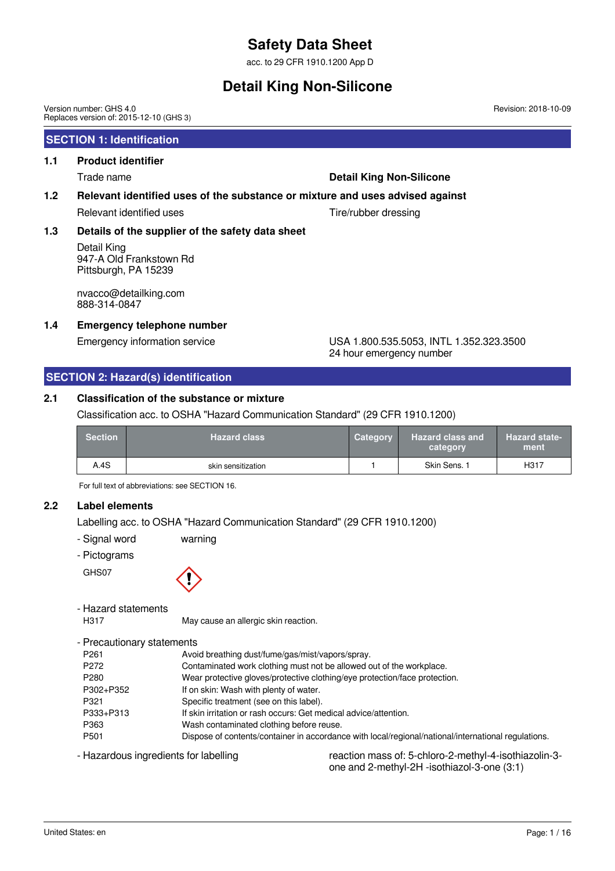acc. to 29 CFR 1910.1200 App D

## **Detail King Non-Silicone**

Version number: GHS 4.0 Replaces version of: 2015-12-10 (GHS 3)

### **SECTION 1: Identification**

### **1.1 Product identifier**

#### Trade name **Detail King Non-Silicone**

#### **1.2 Relevant identified uses of the substance or mixture and uses advised against**

Relevant identified uses Tire/rubber dressing

### **1.3 Details of the supplier of the safety data sheet**

Detail King 947-A Old Frankstown Rd Pittsburgh, PA 15239

nvacco@detailking.com 888-314-0847

### **1.4 Emergency telephone number**

#### Emergency information service USA 1.800.535.5053, INTL 1.352.323.3500 24 hour emergency number

### **SECTION 2: Hazard(s) identification**

### **2.1 Classification of the substance or mixture**

Classification acc. to OSHA "Hazard Communication Standard" (29 CFR 1910.1200)

| <b>Section</b> | <b>Hazard class</b> | Category | <b>Hazard class and</b><br>category | <b>Hazard state-</b><br>ment |
|----------------|---------------------|----------|-------------------------------------|------------------------------|
| A.4S           | skin sensitization  |          | Skin Sens. 1                        | H317                         |

For full text of abbreviations: see SECTION 16.

### **2.2 Label elements**

Labelling acc. to OSHA "Hazard Communication Standard" (29 CFR 1910.1200)

- Signal word warning
- Pictograms

GHS07



- Hazard statements

H317 May cause an allergic skin reaction.

- Precautionary statements

| P <sub>261</sub> | Avoid breathing dust/fume/gas/mist/vapors/spray.                                                    |
|------------------|-----------------------------------------------------------------------------------------------------|
| P <sub>272</sub> | Contaminated work clothing must not be allowed out of the workplace.                                |
| P <sub>280</sub> | Wear protective gloves/protective clothing/eye protection/face protection.                          |
| P302+P352        | If on skin: Wash with plenty of water.                                                              |
| P321             | Specific treatment (see on this label).                                                             |
| P333+P313        | If skin irritation or rash occurs: Get medical advice/attention.                                    |
| P363             | Wash contaminated clothing before reuse.                                                            |
| P <sub>501</sub> | Dispose of contents/container in accordance with local/regional/national/international regulations. |

- Hazardous ingredients for labelling reaction mass of: 5-chloro-2-methyl-4-isothiazolin-3one and 2-methyl-2H -isothiazol-3-one (3:1)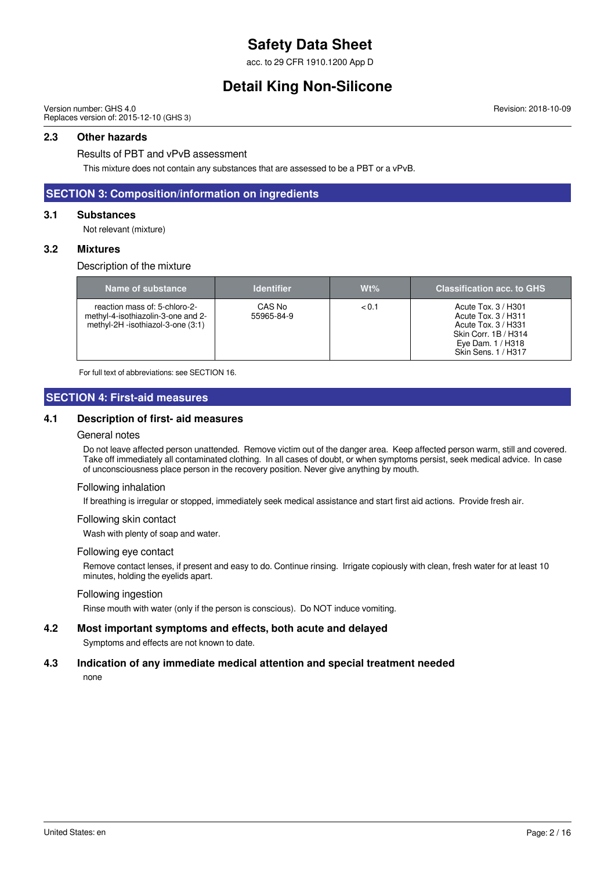acc. to 29 CFR 1910.1200 App D

## **Detail King Non-Silicone**

Version number: GHS 4.0 Replaces version of: 2015-12-10 (GHS 3)

#### **2.3 Other hazards**

Results of PBT and vPvB assessment

This mixture does not contain any substances that are assessed to be a PBT or a vPvB.

### **SECTION 3: Composition/information on ingredients**

#### **3.1 Substances**

Not relevant (mixture)

#### **3.2 Mixtures**

Description of the mixture

| Name of substance <b>\</b>                                                                               | <b>Identifier</b>    | $Wt\%$ | <b>Classification acc. to GHS</b>                                                                                                      |
|----------------------------------------------------------------------------------------------------------|----------------------|--------|----------------------------------------------------------------------------------------------------------------------------------------|
| reaction mass of: 5-chloro-2-<br>methyl-4-isothiazolin-3-one and 2-<br>methyl-2H -isothiazol-3-one (3:1) | CAS No<br>55965-84-9 | < 0.1  | Acute Tox, 3 / H301<br>Acute Tox. 3 / H311<br>Acute Tox. 3 / H331<br>Skin Corr. 1B / H314<br>Eye Dam. $1/$ H318<br>Skin Sens. 1 / H317 |

For full text of abbreviations: see SECTION 16.

#### **SECTION 4: First-aid measures**

#### **4.1 Description of first- aid measures**

#### General notes

Do not leave affected person unattended. Remove victim out of the danger area. Keep affected person warm, still and covered. Take off immediately all contaminated clothing. In all cases of doubt, or when symptoms persist, seek medical advice. In case of unconsciousness place person in the recovery position. Never give anything by mouth.

#### Following inhalation

If breathing is irregular or stopped, immediately seek medical assistance and start first aid actions. Provide fresh air.

#### Following skin contact

Wash with plenty of soap and water.

#### Following eye contact

Remove contact lenses, if present and easy to do. Continue rinsing. Irrigate copiously with clean, fresh water for at least 10 minutes, holding the eyelids apart.

#### Following ingestion

Rinse mouth with water (only if the person is conscious). Do NOT induce vomiting.

#### **4.2 Most important symptoms and effects, both acute and delayed**

Symptoms and effects are not known to date.

### **4.3 Indication of any immediate medical attention and special treatment needed**

none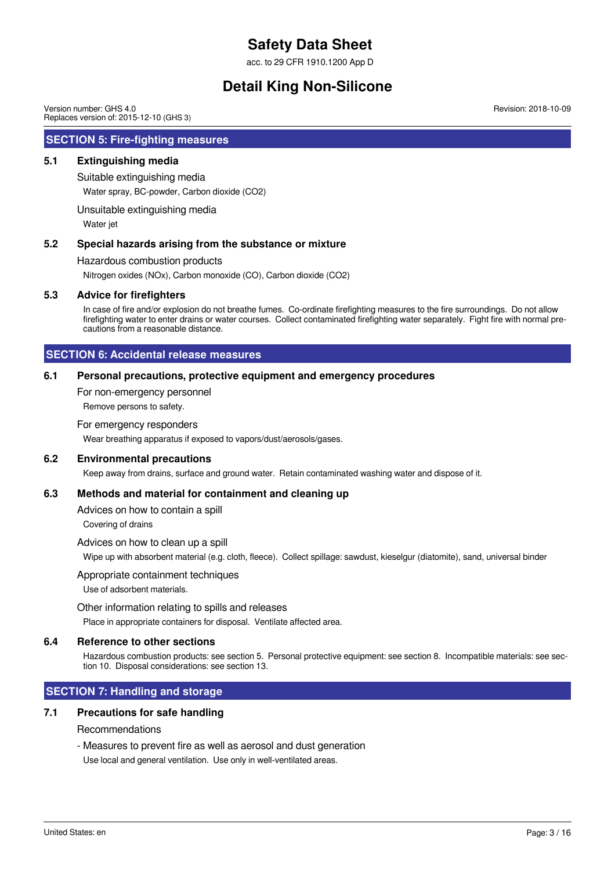acc. to 29 CFR 1910.1200 App D

## **Detail King Non-Silicone**

Version number: GHS 4.0 Replaces version of: 2015-12-10 (GHS 3)

#### **SECTION 5: Fire-fighting measures**

#### **5.1 Extinguishing media**

Suitable extinguishing media

Water spray, BC-powder, Carbon dioxide (CO2)

Unsuitable extinguishing media

Water jet

#### **5.2 Special hazards arising from the substance or mixture**

Hazardous combustion products

Nitrogen oxides (NOx), Carbon monoxide (CO), Carbon dioxide (CO2)

#### **5.3 Advice for firefighters**

In case of fire and/or explosion do not breathe fumes. Co-ordinate firefighting measures to the fire surroundings. Do not allow firefighting water to enter drains or water courses. Collect contaminated firefighting water separately. Fight fire with normal precautions from a reasonable distance.

#### **SECTION 6: Accidental release measures**

#### **6.1 Personal precautions, protective equipment and emergency procedures**

For non-emergency personnel

Remove persons to safety.

#### For emergency responders

Wear breathing apparatus if exposed to vapors/dust/aerosols/gases.

#### **6.2 Environmental precautions**

Keep away from drains, surface and ground water. Retain contaminated washing water and dispose of it.

#### **6.3 Methods and material for containment and cleaning up**

Advices on how to contain a spill

Covering of drains

Advices on how to clean up a spill

Wipe up with absorbent material (e.g. cloth, fleece). Collect spillage: sawdust, kieselgur (diatomite), sand, universal binder

Appropriate containment techniques

Use of adsorbent materials.

#### Other information relating to spills and releases

Place in appropriate containers for disposal. Ventilate affected area.

#### **6.4 Reference to other sections**

Hazardous combustion products: see section 5. Personal protective equipment: see section 8. Incompatible materials: see section 10. Disposal considerations: see section 13.

### **SECTION 7: Handling and storage**

#### **7.1 Precautions for safe handling**

#### Recommendations

- Measures to prevent fire as well as aerosol and dust generation

Use local and general ventilation. Use only in well-ventilated areas.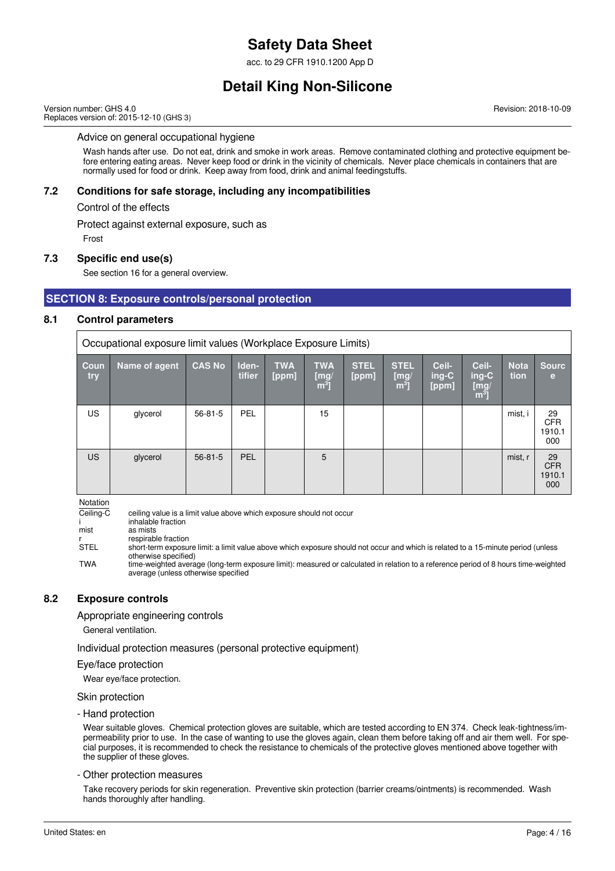acc. to 29 CFR 1910.1200 App D

## **Detail King Non-Silicone**

Version number: GHS 4.0 Replaces version of: 2015-12-10 (GHS 3) Revision: 2018-10-09

#### Advice on general occupational hygiene

Wash hands after use. Do not eat, drink and smoke in work areas. Remove contaminated clothing and protective equipment before entering eating areas. Never keep food or drink in the vicinity of chemicals. Never place chemicals in containers that are normally used for food or drink. Keep away from food, drink and animal feedingstuffs.

#### **7.2 Conditions for safe storage, including any incompatibilities**

Control of the effects

Protect against external exposure, such as

Frost

#### **7.3 Specific end use(s)**

See section 16 for a general overview.

#### **SECTION 8: Exposure controls/personal protection**

#### **8.1 Control parameters**

Occupational exposure limit values (Workplace Exposure Limits)

| Coun<br>try | Name of agent | <b>CAS No</b> | Iden-<br>tifier | <b>TWA</b><br>[ppm] | <b>TWA</b><br>$\begin{bmatrix} m g \\ m^3 \end{bmatrix}$ | <b>STEL</b><br>[ppm] | <b>STEL</b><br>[mg]<br>$\overline{m^3}$ | Ceil-<br>$ing-C$<br>[ppm] | Ceil-<br>$ing-C$<br>[mg]<br>$\mathbf{m}^3$ | <b>Nota</b><br>tion | <b>Sourc</b><br>e                 |
|-------------|---------------|---------------|-----------------|---------------------|----------------------------------------------------------|----------------------|-----------------------------------------|---------------------------|--------------------------------------------|---------------------|-----------------------------------|
| <b>US</b>   | glycerol      | $56 - 81 - 5$ | <b>PEL</b>      |                     | 15                                                       |                      |                                         |                           |                                            | mist, i             | 29<br><b>CFR</b><br>1910.1<br>000 |
| <b>US</b>   | glycerol      | $56 - 81 - 5$ | <b>PEL</b>      |                     | 5                                                        |                      |                                         |                           |                                            | mist, r             | 29<br><b>CFR</b><br>1910.1<br>000 |

Notation

 $\overline{Ceiling-C}$  ceiling value is a limit value above which exposure should not occur i inhalable fraction<br>mist as mists as mists r respirable fraction<br>STEL short-term exposui short-term exposure limit: a limit value above which exposure should not occur and which is related to a 15-minute period (unless otherwise specified) TWA time-weighted average (long-term exposure limit): measured or calculated in relation to a reference period of 8 hours time-weighted average (unless otherwise specified

#### **8.2 Exposure controls**

Appropriate engineering controls

General ventilation.

Individual protection measures (personal protective equipment)

#### Eye/face protection

Wear eye/face protection.

Skin protection

#### - Hand protection

Wear suitable gloves. Chemical protection gloves are suitable, which are tested according to EN 374. Check leak-tightness/impermeability prior to use. In the case of wanting to use the gloves again, clean them before taking off and air them well. For special purposes, it is recommended to check the resistance to chemicals of the protective gloves mentioned above together with the supplier of these gloves.

#### - Other protection measures

Take recovery periods for skin regeneration. Preventive skin protection (barrier creams/ointments) is recommended. Wash hands thoroughly after handling.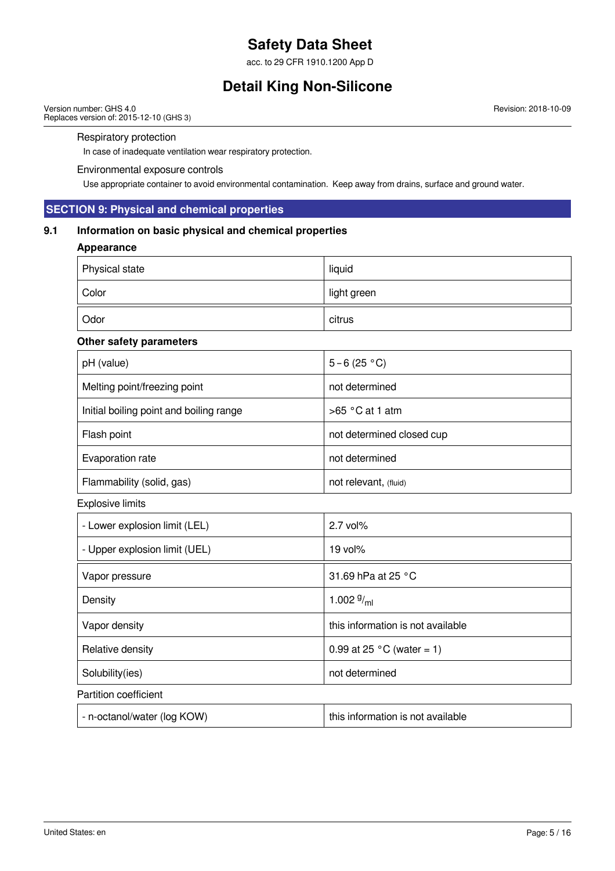acc. to 29 CFR 1910.1200 App D

## **Detail King Non-Silicone**

Version number: GHS 4.0 Replaces version of: 2015-12-10 (GHS 3) Revision: 2018-10-09

#### Respiratory protection

In case of inadequate ventilation wear respiratory protection.

#### Environmental exposure controls

Use appropriate container to avoid environmental contamination. Keep away from drains, surface and ground water.

### **SECTION 9: Physical and chemical properties**

### **9.1 Information on basic physical and chemical properties**

### **Appearance**

| Physical state | liquid      |
|----------------|-------------|
| Color          | light green |
| Odor           | citrus      |

#### **Other safety parameters**

| pH (value)                              | $5 - 6(25 °C)$            |
|-----------------------------------------|---------------------------|
| Melting point/freezing point            | not determined            |
| Initial boiling point and boiling range | $>65$ °C at 1 atm         |
| Flash point                             | not determined closed cup |
| Evaporation rate                        | not determined            |
| Flammability (solid, gas)               | not relevant, (fluid)     |

Explosive limits

| - Lower explosion limit (LEL) | $2.7$ vol%                          |
|-------------------------------|-------------------------------------|
| - Upper explosion limit (UEL) | $19$ vol $%$                        |
| Vapor pressure                | 31.69 hPa at 25 $\degree$ C         |
| Density                       | 1.002 $9/ml$                        |
| Vapor density                 | this information is not available   |
| Relative density              | 0.99 at 25 $^{\circ}$ C (water = 1) |
| Solubility(ies)               | not determined                      |
| Partition coefficient         |                                     |
| - n-octanol/water (log KOW)   | this information is not available   |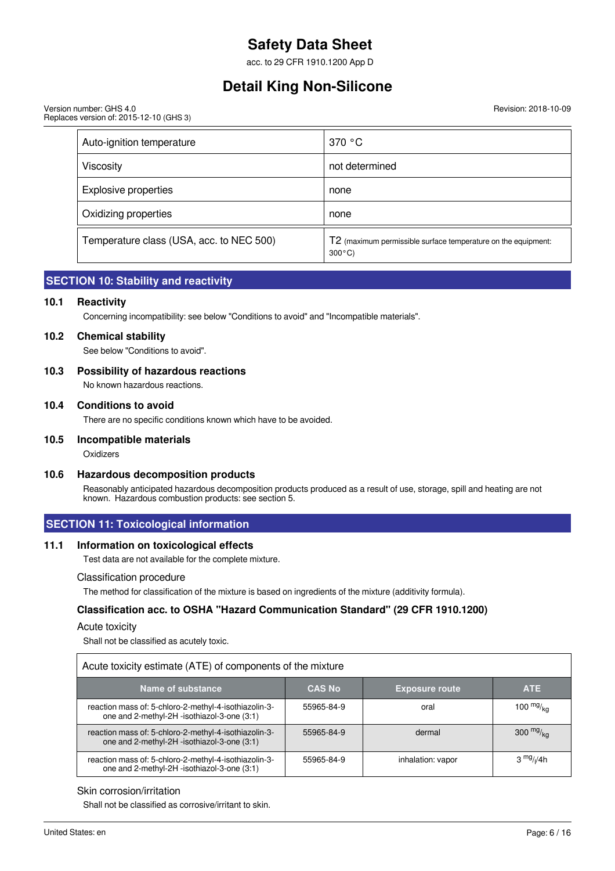acc. to 29 CFR 1910.1200 App D

### **Detail King Non-Silicone**

Version number: GHS 4.0 Replaces version of: 2015-12-10 (GHS 3) Revision: 2018-10-09

| Auto-ignition temperature                | 370 °C                                                                            |
|------------------------------------------|-----------------------------------------------------------------------------------|
| Viscosity                                | not determined                                                                    |
| <b>Explosive properties</b>              | none                                                                              |
| Oxidizing properties                     | none                                                                              |
| Temperature class (USA, acc. to NEC 500) | T2 (maximum permissible surface temperature on the equipment:<br>$300^{\circ}$ C) |

### **SECTION 10: Stability and reactivity**

#### **10.1 Reactivity**

Concerning incompatibility: see below "Conditions to avoid" and "Incompatible materials".

#### **10.2 Chemical stability**

See below "Conditions to avoid".

#### **10.3 Possibility of hazardous reactions**

No known hazardous reactions.

#### **10.4 Conditions to avoid**

There are no specific conditions known which have to be avoided.

#### **10.5 Incompatible materials**

**Oxidizers** 

#### **10.6 Hazardous decomposition products**

Reasonably anticipated hazardous decomposition products produced as a result of use, storage, spill and heating are not known. Hazardous combustion products: see section 5.

### **SECTION 11: Toxicological information**

#### **11.1 Information on toxicological effects**

Test data are not available for the complete mixture.

#### Classification procedure

The method for classification of the mixture is based on ingredients of the mixture (additivity formula).

### **Classification acc. to OSHA "Hazard Communication Standard" (29 CFR 1910.1200)**

#### Acute toxicity

Shall not be classified as acutely toxic.

| Acute toxicity estimate (ATE) of components of the mixture                                           |               |                       |                                    |  |  |
|------------------------------------------------------------------------------------------------------|---------------|-----------------------|------------------------------------|--|--|
| Name of substance                                                                                    | <b>CAS No</b> | <b>Exposure route</b> | <b>ATE</b>                         |  |  |
| reaction mass of: 5-chloro-2-methyl-4-isothiazolin-3-<br>one and 2-methyl-2H -isothiazol-3-one (3:1) | 55965-84-9    | oral                  | 100 $mg/_{ka}$                     |  |  |
| reaction mass of: 5-chloro-2-methyl-4-isothiazolin-3-<br>one and 2-methyl-2H -isothiazol-3-one (3:1) | 55965-84-9    | dermal                | 300 $mg/kq$                        |  |  |
| reaction mass of: 5-chloro-2-methyl-4-isothiazolin-3-<br>one and 2-methyl-2H -isothiazol-3-one (3:1) | 55965-84-9    | inhalation: vapor     | 3 <sup>mg</sup> / <sub>l</sub> /4h |  |  |

#### Skin corrosion/irritation

Shall not be classified as corrosive/irritant to skin.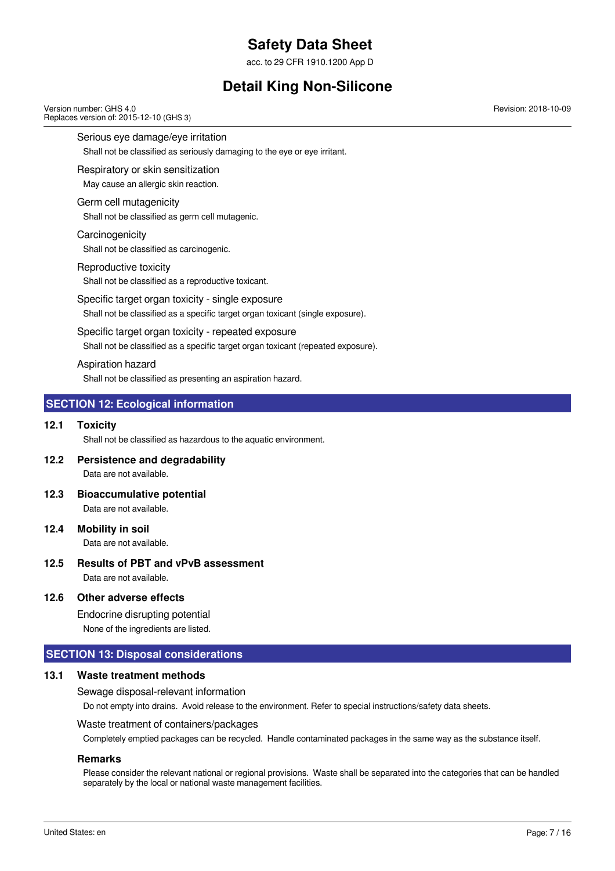acc. to 29 CFR 1910.1200 App D

## **Detail King Non-Silicone**

Version number: GHS 4.0 Replaces version of: 2015-12-10 (GHS 3)

Serious eye damage/eye irritation

Shall not be classified as seriously damaging to the eye or eye irritant.

#### Respiratory or skin sensitization

May cause an allergic skin reaction.

#### Germ cell mutagenicity

Shall not be classified as germ cell mutagenic.

**Carcinogenicity** 

Shall not be classified as carcinogenic.

#### Reproductive toxicity

Shall not be classified as a reproductive toxicant.

Specific target organ toxicity - single exposure Shall not be classified as a specific target organ toxicant (single exposure).

### Specific target organ toxicity - repeated exposure

Shall not be classified as a specific target organ toxicant (repeated exposure).

#### Aspiration hazard

Shall not be classified as presenting an aspiration hazard.

### **SECTION 12: Ecological information**

#### **12.1 Toxicity**

Shall not be classified as hazardous to the aquatic environment.

**12.2 Persistence and degradability**

Data are not available.

- **12.3 Bioaccumulative potential** Data are not available.
- **12.4 Mobility in soil**

Data are not available.

**12.5 Results of PBT and vPvB assessment** Data are not available.

### **12.6 Other adverse effects**

Endocrine disrupting potential

None of the ingredients are listed.

### **SECTION 13: Disposal considerations**

### **13.1 Waste treatment methods**

Sewage disposal-relevant information

Do not empty into drains. Avoid release to the environment. Refer to special instructions/safety data sheets.

### Waste treatment of containers/packages

Completely emptied packages can be recycled. Handle contaminated packages in the same way as the substance itself.

### **Remarks**

Please consider the relevant national or regional provisions. Waste shall be separated into the categories that can be handled separately by the local or national waste management facilities.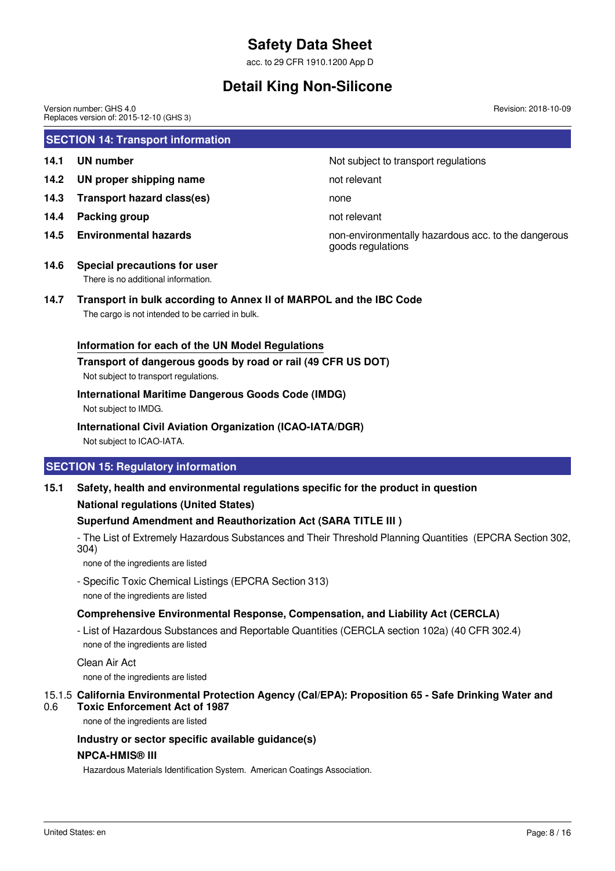acc. to 29 CFR 1910.1200 App D

## **Detail King Non-Silicone**

**SECTION 14: Transport information 14.1 UN number 14.1 UN** number **14.2 UN proper shipping name** not relevant **14.3 Transport hazard class(es)** none **14.4 Packing group not relevant 14.5 Environmental hazards** non-environmentally hazardous acc. to the dangerous goods regulations **14.6 Special precautions for user** There is no additional information. **14.7 Transport in bulk according to Annex II of MARPOL and the IBC Code** The cargo is not intended to be carried in bulk. Version number: GHS 4.0 Replaces version of: 2015-12-10 (GHS 3) Revision: 2018-10-09

#### **Information for each of the UN Model Regulations**

#### **Transport of dangerous goods by road or rail (49 CFR US DOT)**

Not subject to transport regulations.

#### **International Maritime Dangerous Goods Code (IMDG)**

Not subject to IMDG.

#### **International Civil Aviation Organization (ICAO-IATA/DGR)**

Not subject to ICAO-IATA.

### **SECTION 15: Regulatory information**

### **15.1 Safety, health and environmental regulations specific for the product in question National regulations (United States)**

### **Superfund Amendment and Reauthorization Act (SARA TITLE III )**

- The List of Extremely Hazardous Substances and Their Threshold Planning Quantities (EPCRA Section 302, 304)

none of the ingredients are listed

- Specific Toxic Chemical Listings (EPCRA Section 313) none of the ingredients are listed

### **Comprehensive Environmental Response, Compensation, and Liability Act (CERCLA)**

- List of Hazardous Substances and Reportable Quantities (CERCLA section 102a) (40 CFR 302.4) none of the ingredients are listed

Clean Air Act

none of the ingredients are listed

#### 15.1.5 **California Environmental Protection Agency (Cal/EPA): Proposition 65 - Safe Drinking Water and** 0.6 **Toxic Enforcement Act of 1987**

none of the ingredients are listed

#### **Industry or sector specific available guidance(s)**

#### **NPCA-HMIS® III**

Hazardous Materials Identification System. American Coatings Association.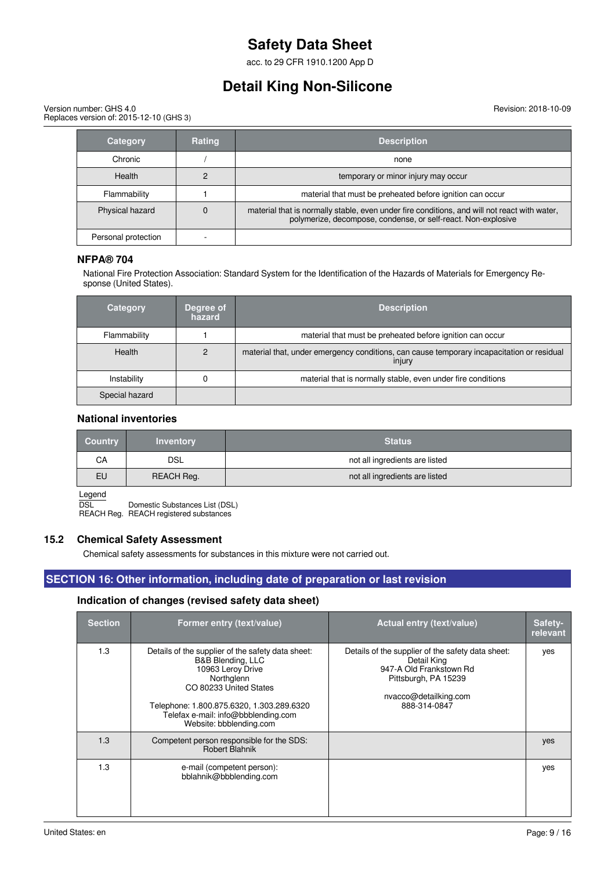acc. to 29 CFR 1910.1200 App D

## **Detail King Non-Silicone**

Version number: GHS 4.0 Replaces version of: 2015-12-10 (GHS 3) Revision: 2018-10-09

| <b>Category</b>     | <b>Rating</b> | <b>Description</b>                                                                                                                                            |
|---------------------|---------------|---------------------------------------------------------------------------------------------------------------------------------------------------------------|
| Chronic             |               | none                                                                                                                                                          |
| Health              |               | temporary or minor injury may occur                                                                                                                           |
| Flammability        |               | material that must be preheated before ignition can occur                                                                                                     |
| Physical hazard     |               | material that is normally stable, even under fire conditions, and will not react with water,<br>polymerize, decompose, condense, or self-react. Non-explosive |
| Personal protection |               |                                                                                                                                                               |

#### **NFPA® 704**

National Fire Protection Association: Standard System for the Identification of the Hazards of Materials for Emergency Response (United States).

| <b>Category</b> | Degree of<br>hazard | <b>Description</b>                                                                                  |
|-----------------|---------------------|-----------------------------------------------------------------------------------------------------|
| Flammability    |                     | material that must be preheated before ignition can occur                                           |
| Health          | 2                   | material that, under emergency conditions, can cause temporary incapacitation or residual<br>injury |
| Instability     |                     | material that is normally stable, even under fire conditions                                        |
| Special hazard  |                     |                                                                                                     |

#### **National inventories**

| <b>Country</b> | <b>Inventory</b> | <b>Status</b>                  |
|----------------|------------------|--------------------------------|
| СA             | DSL              | not all ingredients are listed |
| EU             | REACH Reg.       | not all ingredients are listed |

Legend

DSL Domestic Substances List (DSL)

REACH Reg. REACH registered substances

#### **15.2 Chemical Safety Assessment**

Chemical safety assessments for substances in this mixture were not carried out.

### **SECTION 16: Other information, including date of preparation or last revision**

#### **Indication of changes (revised safety data sheet)**

| <b>Section</b> | Former entry (text/value)                                                                                                                                                                                                                          | Actual entry (text/value)                                                                                                                                    | Safety-<br>relevant |
|----------------|----------------------------------------------------------------------------------------------------------------------------------------------------------------------------------------------------------------------------------------------------|--------------------------------------------------------------------------------------------------------------------------------------------------------------|---------------------|
| 1.3            | Details of the supplier of the safety data sheet:<br>B&B Blending, LLC<br>10963 Leroy Drive<br>Northglenn<br>CO 80233 United States<br>Telephone: 1.800.875.6320, 1.303.289.6320<br>Telefax e-mail: info@bbblending.com<br>Website: bbblending.com | Details of the supplier of the safety data sheet:<br>Detail King<br>947-A Old Frankstown Rd<br>Pittsburgh, PA 15239<br>nvacco@detailking.com<br>888-314-0847 | yes                 |
| 1.3            | Competent person responsible for the SDS:<br>Robert Blahnik                                                                                                                                                                                        |                                                                                                                                                              | yes                 |
| 1.3            | e-mail (competent person):<br>bblahnik@bbblending.com                                                                                                                                                                                              |                                                                                                                                                              | yes                 |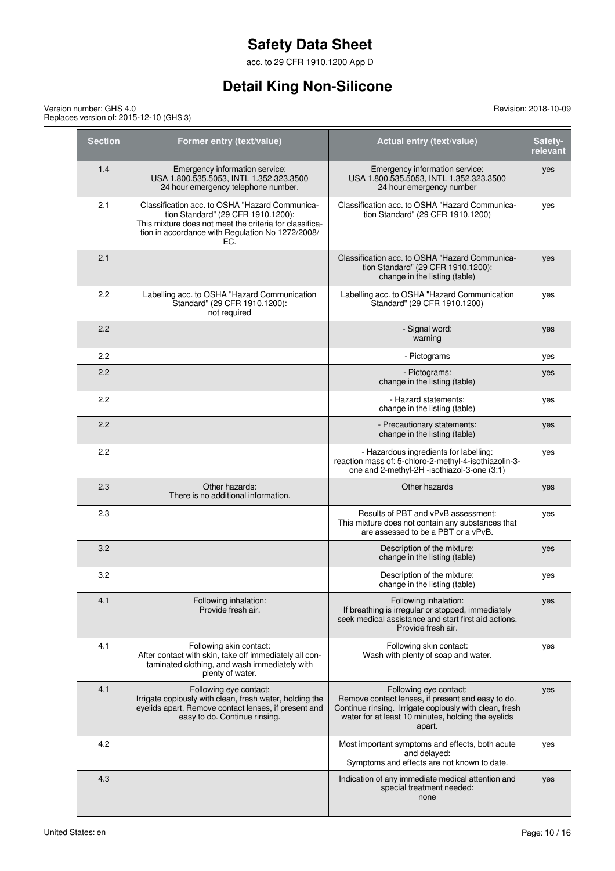acc. to 29 CFR 1910.1200 App D

## **Detail King Non-Silicone**

| Version number: GHS 4.0                 |
|-----------------------------------------|
| Replaces version of: 2015-12-10 (GHS 3) |

| <b>Section</b> | Former entry (text/value)                                                                                                                                                                                  | Actual entry (text/value)                                                                                                                                                                             | Safety-<br>relevant |
|----------------|------------------------------------------------------------------------------------------------------------------------------------------------------------------------------------------------------------|-------------------------------------------------------------------------------------------------------------------------------------------------------------------------------------------------------|---------------------|
| 1.4            | Emergency information service:<br>USA 1.800.535.5053, INTL 1.352.323.3500<br>24 hour emergency telephone number.                                                                                           | Emergency information service:<br>USA 1.800.535.5053, INTL 1.352.323.3500<br>24 hour emergency number                                                                                                 | yes                 |
| 2.1            | Classification acc. to OSHA "Hazard Communica-<br>tion Standard" (29 CFR 1910.1200):<br>This mixture does not meet the criteria for classifica-<br>tion in accordance with Regulation No 1272/2008/<br>EC. | Classification acc. to OSHA "Hazard Communica-<br>tion Standard" (29 CFR 1910.1200)                                                                                                                   | yes                 |
| 2.1            |                                                                                                                                                                                                            | Classification acc. to OSHA "Hazard Communica-<br>tion Standard" (29 CFR 1910.1200):<br>change in the listing (table)                                                                                 | yes                 |
| 2.2            | Labelling acc. to OSHA "Hazard Communication<br>Standard" (29 CFR 1910.1200):<br>not required                                                                                                              | Labelling acc. to OSHA "Hazard Communication<br>Standard" (29 CFR 1910.1200)                                                                                                                          | yes                 |
| 2.2            |                                                                                                                                                                                                            | - Signal word:<br>warning                                                                                                                                                                             | yes                 |
| 2.2            |                                                                                                                                                                                                            | - Pictograms                                                                                                                                                                                          | yes                 |
| 2.2            |                                                                                                                                                                                                            | - Pictograms:<br>change in the listing (table)                                                                                                                                                        | yes                 |
| 2.2            |                                                                                                                                                                                                            | - Hazard statements:<br>change in the listing (table)                                                                                                                                                 | yes                 |
| 2.2            |                                                                                                                                                                                                            | - Precautionary statements:<br>change in the listing (table)                                                                                                                                          | yes                 |
| 2.2            |                                                                                                                                                                                                            | - Hazardous ingredients for labelling:<br>reaction mass of: 5-chloro-2-methyl-4-isothiazolin-3-<br>one and 2-methyl-2H -isothiazol-3-one (3:1)                                                        | yes                 |
| 2.3            | Other hazards:<br>There is no additional information.                                                                                                                                                      | Other hazards                                                                                                                                                                                         | yes                 |
| 2.3            |                                                                                                                                                                                                            | Results of PBT and vPvB assessment:<br>This mixture does not contain any substances that<br>are assessed to be a PBT or a vPvB.                                                                       | yes                 |
| 3.2            |                                                                                                                                                                                                            | Description of the mixture:<br>change in the listing (table)                                                                                                                                          | yes                 |
| 3.2            |                                                                                                                                                                                                            | Description of the mixture:<br>change in the listing (table)                                                                                                                                          | yes                 |
| 4.1            | Following inhalation:<br>Provide fresh air.                                                                                                                                                                | Following inhalation:<br>If breathing is irregular or stopped, immediately<br>seek medical assistance and start first aid actions.<br>Provide fresh air.                                              | yes                 |
| 4.1            | Following skin contact:<br>After contact with skin, take off immediately all con-<br>taminated clothing, and wash immediately with<br>plenty of water.                                                     | Following skin contact:<br>Wash with plenty of soap and water.                                                                                                                                        | yes                 |
| 4.1            | Following eye contact:<br>Irrigate copiously with clean, fresh water, holding the<br>eyelids apart. Remove contact lenses, if present and<br>easy to do. Continue rinsing.                                 | Following eye contact:<br>Remove contact lenses, if present and easy to do.<br>Continue rinsing. Irrigate copiously with clean, fresh<br>water for at least 10 minutes, holding the eyelids<br>apart. | yes                 |
| 4.2            |                                                                                                                                                                                                            | Most important symptoms and effects, both acute<br>and delayed:<br>Symptoms and effects are not known to date.                                                                                        | yes                 |
| 4.3            |                                                                                                                                                                                                            | Indication of any immediate medical attention and<br>special treatment needed:<br>none                                                                                                                | yes                 |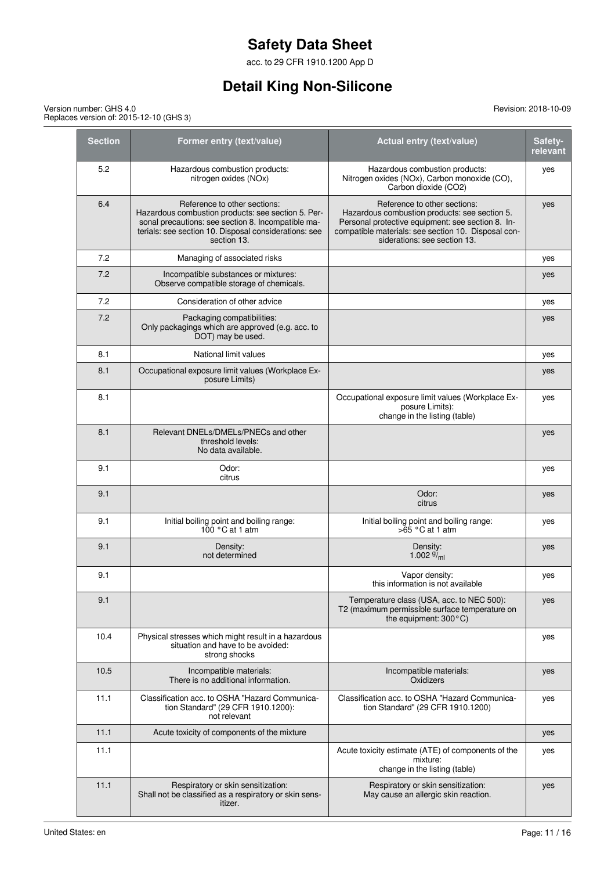acc. to 29 CFR 1910.1200 App D

## **Detail King Non-Silicone**

| <b>Section</b> | Former entry (text/value)                                                                                                                                                                                        | Actual entry (text/value)                                                                                                                                                                                                 | Safety-<br>relevant |
|----------------|------------------------------------------------------------------------------------------------------------------------------------------------------------------------------------------------------------------|---------------------------------------------------------------------------------------------------------------------------------------------------------------------------------------------------------------------------|---------------------|
| 5.2            | Hazardous combustion products:<br>nitrogen oxides (NOx)                                                                                                                                                          | Hazardous combustion products:<br>Nitrogen oxides (NOx), Carbon monoxide (CO),<br>Carbon dioxide (CO2)                                                                                                                    | yes                 |
| 6.4            | Reference to other sections:<br>Hazardous combustion products: see section 5. Per-<br>sonal precautions: see section 8. Incompatible ma-<br>terials: see section 10. Disposal considerations: see<br>section 13. | Reference to other sections:<br>Hazardous combustion products: see section 5.<br>Personal protective equipment: see section 8. In-<br>compatible materials: see section 10. Disposal con-<br>siderations: see section 13. | yes                 |
| 7.2            | Managing of associated risks                                                                                                                                                                                     |                                                                                                                                                                                                                           | yes                 |
| 7.2            | Incompatible substances or mixtures:<br>Observe compatible storage of chemicals.                                                                                                                                 |                                                                                                                                                                                                                           | yes                 |
| 7.2            | Consideration of other advice                                                                                                                                                                                    |                                                                                                                                                                                                                           | yes                 |
| 7.2            | Packaging compatibilities:<br>Only packagings which are approved (e.g. acc. to<br>DOT) may be used.                                                                                                              |                                                                                                                                                                                                                           | yes                 |
| 8.1            | National limit values                                                                                                                                                                                            |                                                                                                                                                                                                                           | yes                 |
| 8.1            | Occupational exposure limit values (Workplace Ex-<br>posure Limits)                                                                                                                                              |                                                                                                                                                                                                                           | yes                 |
| 8.1            |                                                                                                                                                                                                                  | Occupational exposure limit values (Workplace Ex-<br>posure Limits):<br>change in the listing (table)                                                                                                                     | yes                 |
| 8.1            | Relevant DNELs/DMELs/PNECs and other<br>threshold levels:<br>No data available.                                                                                                                                  |                                                                                                                                                                                                                           | yes                 |
| 9.1            | Odor:<br>citrus                                                                                                                                                                                                  |                                                                                                                                                                                                                           | yes                 |
| 9.1            |                                                                                                                                                                                                                  | Odor:<br>citrus                                                                                                                                                                                                           | yes                 |
| 9.1            | Initial boiling point and boiling range:<br>$100 °C$ at 1 atm                                                                                                                                                    | Initial boiling point and boiling range:<br>$>65$ °C at 1 atm                                                                                                                                                             | yes                 |
| 9.1            | Density:<br>not determined                                                                                                                                                                                       | Density:<br>1.002 $\frac{9}{1}$ <sub>ml</sub>                                                                                                                                                                             | yes                 |
| 9.1            |                                                                                                                                                                                                                  | Vapor density:<br>this information is not available                                                                                                                                                                       | yes                 |
| 9.1            |                                                                                                                                                                                                                  | Temperature class (USA, acc. to NEC 500):<br>T2 (maximum permissible surface temperature on<br>the equipment: 300°C)                                                                                                      | yes                 |
| 10.4           | Physical stresses which might result in a hazardous<br>situation and have to be avoided:<br>strong shocks                                                                                                        |                                                                                                                                                                                                                           | yes                 |
| 10.5           | Incompatible materials:<br>There is no additional information.                                                                                                                                                   | Incompatible materials:<br>Oxidizers                                                                                                                                                                                      | yes                 |
| 11.1           | Classification acc. to OSHA "Hazard Communica-<br>tion Standard" (29 CFR 1910.1200):<br>not relevant                                                                                                             | Classification acc. to OSHA "Hazard Communica-<br>tion Standard" (29 CFR 1910.1200)                                                                                                                                       | yes                 |
| 11.1           | Acute toxicity of components of the mixture                                                                                                                                                                      |                                                                                                                                                                                                                           | yes                 |
| 11.1           |                                                                                                                                                                                                                  | Acute toxicity estimate (ATE) of components of the<br>mixture:<br>change in the listing (table)                                                                                                                           | yes                 |
| 11.1           | Respiratory or skin sensitization:<br>Shall not be classified as a respiratory or skin sens-<br>itizer.                                                                                                          | Respiratory or skin sensitization:<br>May cause an allergic skin reaction.                                                                                                                                                | yes                 |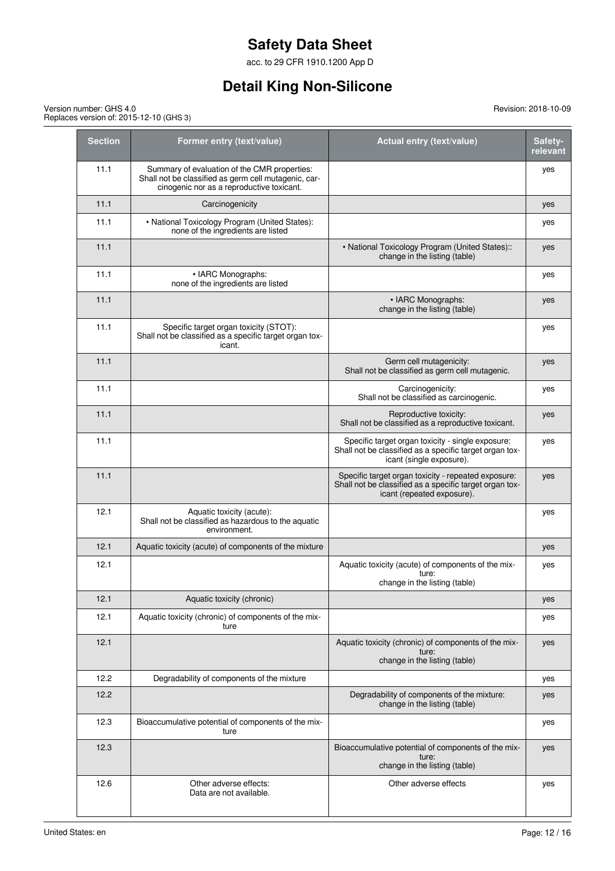acc. to 29 CFR 1910.1200 App D

## **Detail King Non-Silicone**

Revision: 2018-10-09

Version number: GHS 4.0 Replaces version of: 2015-12-10 (GHS 3)

| <b>Section</b> | Former entry (text/value)                                                                                                                         | Actual entry (text/value)                                                                                                                    | Safety-<br>relevant |
|----------------|---------------------------------------------------------------------------------------------------------------------------------------------------|----------------------------------------------------------------------------------------------------------------------------------------------|---------------------|
| 11.1           | Summary of evaluation of the CMR properties:<br>Shall not be classified as germ cell mutagenic, car-<br>cinogenic nor as a reproductive toxicant. |                                                                                                                                              | yes                 |
| 11.1           | Carcinogenicity                                                                                                                                   |                                                                                                                                              | yes                 |
| 11.1           | • National Toxicology Program (United States):<br>none of the ingredients are listed                                                              |                                                                                                                                              | yes                 |
| 11.1           |                                                                                                                                                   | • National Toxicology Program (United States)::<br>change in the listing (table)                                                             | yes                 |
| 11.1           | • IARC Monographs:<br>none of the ingredients are listed                                                                                          |                                                                                                                                              | yes                 |
| 11.1           |                                                                                                                                                   | • IARC Monographs:<br>change in the listing (table)                                                                                          | yes                 |
| 11.1           | Specific target organ toxicity (STOT):<br>Shall not be classified as a specific target organ tox-<br>icant.                                       |                                                                                                                                              | yes                 |
| 11.1           |                                                                                                                                                   | Germ cell mutagenicity:<br>Shall not be classified as germ cell mutagenic.                                                                   | yes                 |
| 11.1           |                                                                                                                                                   | Carcinogenicity:<br>Shall not be classified as carcinogenic.                                                                                 | yes                 |
| 11.1           |                                                                                                                                                   | Reproductive toxicity:<br>Shall not be classified as a reproductive toxicant.                                                                | yes                 |
| 11.1           |                                                                                                                                                   | Specific target organ toxicity - single exposure:<br>Shall not be classified as a specific target organ tox-<br>icant (single exposure).     | yes                 |
| 11.1           |                                                                                                                                                   | Specific target organ toxicity - repeated exposure:<br>Shall not be classified as a specific target organ tox-<br>icant (repeated exposure). | yes                 |
| 12.1           | Aquatic toxicity (acute):<br>Shall not be classified as hazardous to the aquatic<br>environment.                                                  |                                                                                                                                              | yes                 |
| 12.1           | Aquatic toxicity (acute) of components of the mixture                                                                                             |                                                                                                                                              | yes                 |
| 12.1           |                                                                                                                                                   | Aquatic toxicity (acute) of components of the mix-<br>ture:<br>change in the listing (table)                                                 | yes                 |
| 12.1           | Aquatic toxicity (chronic)                                                                                                                        |                                                                                                                                              | yes                 |
| 12.1           | Aquatic toxicity (chronic) of components of the mix-<br>ture                                                                                      |                                                                                                                                              | yes                 |
| 12.1           |                                                                                                                                                   | Aquatic toxicity (chronic) of components of the mix-<br>ture:<br>change in the listing (table)                                               | yes                 |
| 12.2           | Degradability of components of the mixture                                                                                                        |                                                                                                                                              | yes                 |
| 12.2           |                                                                                                                                                   | Degradability of components of the mixture:<br>change in the listing (table)                                                                 | yes                 |
| 12.3           | Bioaccumulative potential of components of the mix-<br>ture                                                                                       |                                                                                                                                              | yes                 |
| 12.3           |                                                                                                                                                   | Bioaccumulative potential of components of the mix-<br>ture:<br>change in the listing (table)                                                | yes                 |
| 12.6           | Other adverse effects:<br>Data are not available.                                                                                                 | Other adverse effects                                                                                                                        | yes                 |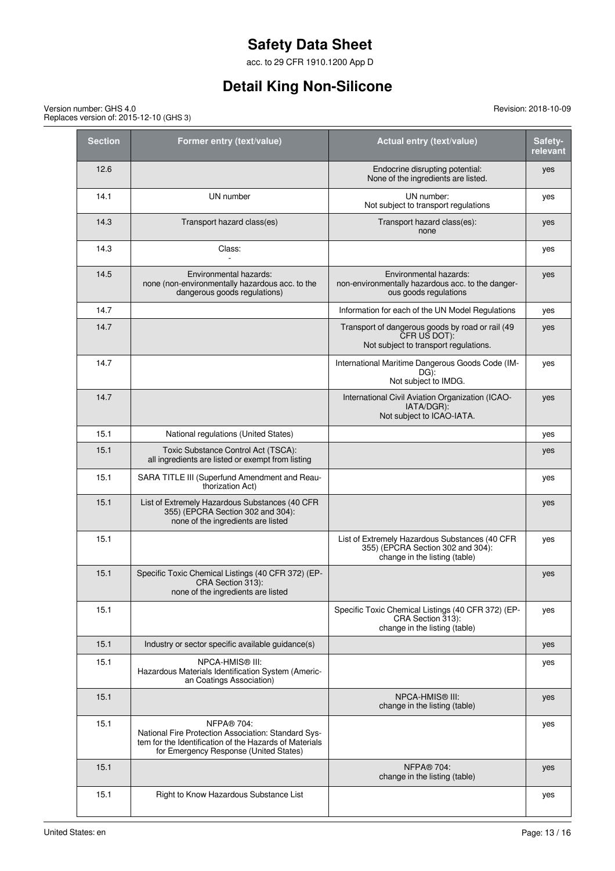acc. to 29 CFR 1910.1200 App D

## **Detail King Non-Silicone**

Version number: GHS 4.0 Replaces version of: 2015-12-10 (GHS 3)

| <b>Section</b> | Former entry (text/value)                                                                                                                                                    | <b>Actual entry (text/value)</b>                                                                                     | Safety-<br>relevant |
|----------------|------------------------------------------------------------------------------------------------------------------------------------------------------------------------------|----------------------------------------------------------------------------------------------------------------------|---------------------|
| 12.6           |                                                                                                                                                                              | Endocrine disrupting potential:<br>None of the ingredients are listed.                                               | yes                 |
| 14.1           | UN number                                                                                                                                                                    | UN number:<br>Not subject to transport regulations                                                                   | yes                 |
| 14.3           | Transport hazard class(es)                                                                                                                                                   | Transport hazard class(es):<br>none                                                                                  | yes                 |
| 14.3           | Class:                                                                                                                                                                       |                                                                                                                      | yes                 |
| 14.5           | Environmental hazards:<br>none (non-environmentally hazardous acc. to the<br>dangerous goods regulations)                                                                    | Environmental hazards:<br>non-environmentally hazardous acc. to the danger-<br>ous goods regulations                 | yes                 |
| 14.7           |                                                                                                                                                                              | Information for each of the UN Model Regulations                                                                     | yes                 |
| 14.7           |                                                                                                                                                                              | Transport of dangerous goods by road or rail (49<br>CFR US DOT):<br>Not subject to transport regulations.            | yes                 |
| 14.7           |                                                                                                                                                                              | International Maritime Dangerous Goods Code (IM-<br>DG):<br>Not subject to IMDG.                                     | yes                 |
| 14.7           |                                                                                                                                                                              | International Civil Aviation Organization (ICAO-<br>IATA/DGR):<br>Not subject to ICAO-IATA.                          | yes                 |
| 15.1           | National regulations (United States)                                                                                                                                         |                                                                                                                      | yes                 |
| 15.1           | Toxic Substance Control Act (TSCA):<br>all ingredients are listed or exempt from listing                                                                                     |                                                                                                                      | yes                 |
| 15.1           | SARA TITLE III (Superfund Amendment and Reau-<br>thorization Act)                                                                                                            |                                                                                                                      | yes                 |
| 15.1           | List of Extremely Hazardous Substances (40 CFR<br>355) (EPCRA Section 302 and 304):<br>none of the ingredients are listed                                                    |                                                                                                                      | yes                 |
| 15.1           |                                                                                                                                                                              | List of Extremely Hazardous Substances (40 CFR<br>355) (EPCRA Section 302 and 304):<br>change in the listing (table) | yes                 |
| 15.1           | Specific Toxic Chemical Listings (40 CFR 372) (EP-<br>CRA Section 313):<br>none of the ingredients are listed                                                                |                                                                                                                      | yes                 |
| 15.1           |                                                                                                                                                                              | Specific Toxic Chemical Listings (40 CFR 372) (EP-<br>CRA Section 313):<br>change in the listing (table)             | yes                 |
| 15.1           | Industry or sector specific available guidance(s)                                                                                                                            |                                                                                                                      | yes                 |
| 15.1           | NPCA-HMIS® III:<br>Hazardous Materials Identification System (Americ-<br>an Coatings Association)                                                                            |                                                                                                                      | yes                 |
| 15.1           |                                                                                                                                                                              | NPCA-HMIS <sup>®</sup> III:<br>change in the listing (table)                                                         | yes                 |
| 15.1           | <b>NFPA® 704:</b><br>National Fire Protection Association: Standard Sys-<br>tem for the Identification of the Hazards of Materials<br>for Emergency Response (United States) |                                                                                                                      | yes                 |
| 15.1           |                                                                                                                                                                              | <b>NFPA® 704:</b><br>change in the listing (table)                                                                   | yes                 |
| 15.1           | Right to Know Hazardous Substance List                                                                                                                                       |                                                                                                                      | yes                 |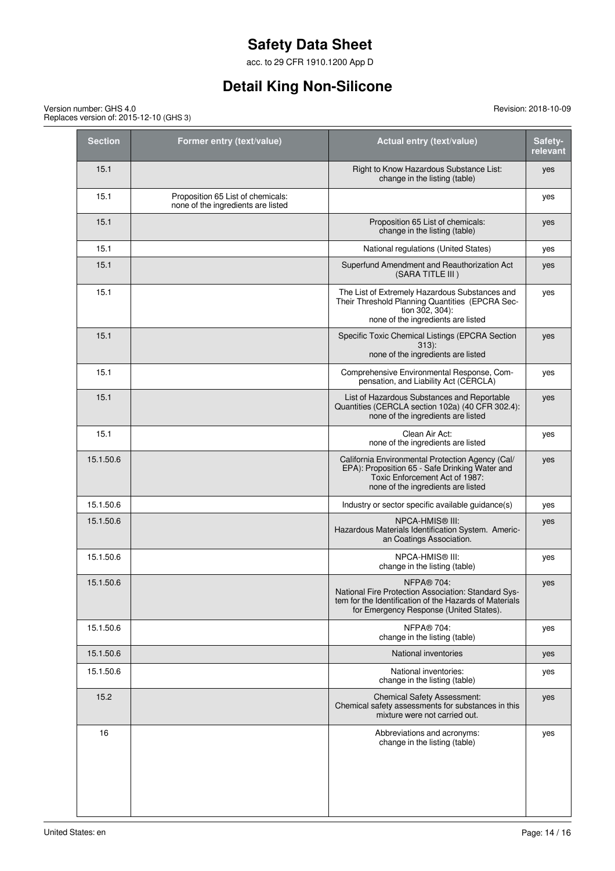acc. to 29 CFR 1910.1200 App D

## **Detail King Non-Silicone**

#### Revision: 2018-10-09

Version number: GHS 4.0 Replaces version of: 2015-12-10 (GHS 3)

| <b>Section</b> | Former entry (text/value)                                               | Actual entry (text/value)                                                                                                                                                     | Safety-<br>relevant |
|----------------|-------------------------------------------------------------------------|-------------------------------------------------------------------------------------------------------------------------------------------------------------------------------|---------------------|
| 15.1           |                                                                         | Right to Know Hazardous Substance List:<br>change in the listing (table)                                                                                                      | yes                 |
| 15.1           | Proposition 65 List of chemicals:<br>none of the ingredients are listed |                                                                                                                                                                               | yes                 |
| 15.1           |                                                                         | Proposition 65 List of chemicals:<br>change in the listing (table)                                                                                                            | yes                 |
| 15.1           |                                                                         | National regulations (United States)                                                                                                                                          | yes                 |
| 15.1           |                                                                         | Superfund Amendment and Reauthorization Act<br>(SARA TITLE III)                                                                                                               | yes                 |
| 15.1           |                                                                         | The List of Extremely Hazardous Substances and<br>Their Threshold Planning Quantities (EPCRA Sec-<br>tion 302, 304):<br>none of the ingredients are listed                    | yes                 |
| 15.1           |                                                                         | Specific Toxic Chemical Listings (EPCRA Section<br>$313$ :<br>none of the ingredients are listed                                                                              | yes                 |
| 15.1           |                                                                         | Comprehensive Environmental Response, Com-<br>pensation, and Liability Act (CERCLA)                                                                                           | yes                 |
| 15.1           |                                                                         | List of Hazardous Substances and Reportable<br>Quantities (CERCLA section 102a) (40 CFR 302.4):<br>none of the ingredients are listed                                         | yes                 |
| 15.1           |                                                                         | Clean Air Act:<br>none of the ingredients are listed                                                                                                                          | yes                 |
| 15.1.50.6      |                                                                         | California Environmental Protection Agency (Cal/<br>EPA): Proposition 65 - Safe Drinking Water and<br>Toxic Enforcement Act of 1987:<br>none of the ingredients are listed    | yes                 |
| 15.1.50.6      |                                                                         | Industry or sector specific available guidance(s)                                                                                                                             | yes                 |
| 15.1.50.6      |                                                                         | NPCA-HMIS® III:<br>Hazardous Materials Identification System. Americ-<br>an Coatings Association.                                                                             | yes                 |
| 15.1.50.6      |                                                                         | NPCA-HMIS® III:<br>change in the listing (table)                                                                                                                              | yes                 |
| 15.1.50.6      |                                                                         | <b>NFPA® 704:</b><br>National Fire Protection Association: Standard Sys-<br>tem for the Identification of the Hazards of Materials<br>for Emergency Response (United States). | yes                 |
| 15.1.50.6      |                                                                         | <b>NFPA® 704:</b><br>change in the listing (table)                                                                                                                            | yes                 |
| 15.1.50.6      |                                                                         | National inventories                                                                                                                                                          | yes                 |
| 15.1.50.6      |                                                                         | National inventories:<br>change in the listing (table)                                                                                                                        | yes                 |
| 15.2           |                                                                         | <b>Chemical Safety Assessment:</b><br>Chemical safety assessments for substances in this<br>mixture were not carried out.                                                     | yes                 |
| 16             |                                                                         | Abbreviations and acronyms:<br>change in the listing (table)                                                                                                                  | yes                 |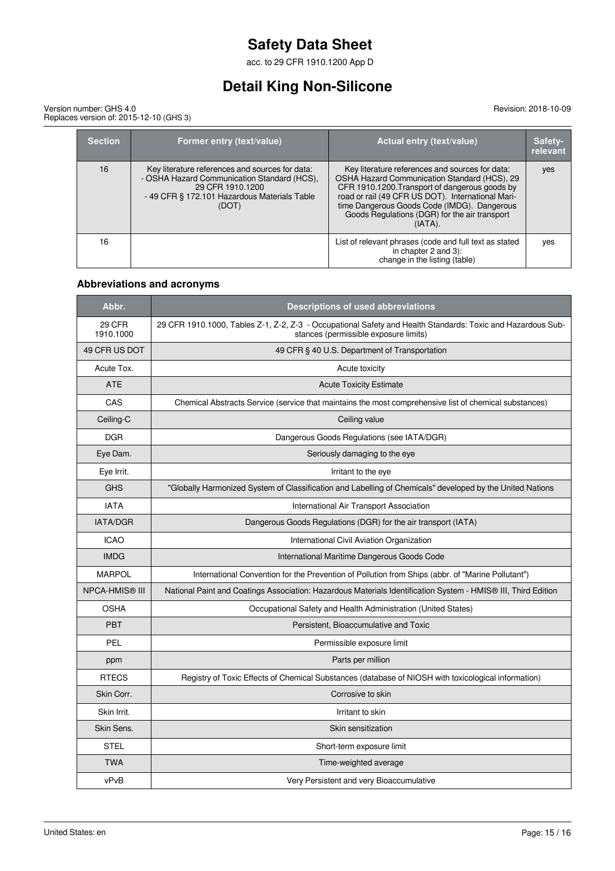acc. to 29 CFR 1910.1200 App D

# **Detail King Non-Silicone**

#### Revision: 2018-10-09

Version number: GHS 4.0 Replaces version of: 2015-12-10 (GHS 3)

| <b>Section</b> | Former entry (text/value)                                                                                                                                                   | <b>Actual entry (text/value)</b>                                                                                                                                                                                                                                                                                     | Safety-<br>relevant |
|----------------|-----------------------------------------------------------------------------------------------------------------------------------------------------------------------------|----------------------------------------------------------------------------------------------------------------------------------------------------------------------------------------------------------------------------------------------------------------------------------------------------------------------|---------------------|
| 16             | Key literature references and sources for data:<br>- OSHA Hazard Communication Standard (HCS),<br>29 CFR 1910.1200<br>- 49 CFR § 172.101 Hazardous Materials Table<br>(DOT) | Key literature references and sources for data:<br>OSHA Hazard Communication Standard (HCS), 29<br>CFR 1910.1200. Transport of dangerous goods by<br>road or rail (49 CFR US DOT). International Mari-<br>time Dangerous Goods Code (IMDG). Dangerous<br>Goods Regulations (DGR) for the air transport<br>$(IATA)$ . | yes                 |
| 16             |                                                                                                                                                                             | List of relevant phrases (code and full text as stated<br>in chapter 2 and 3):<br>change in the listing (table)                                                                                                                                                                                                      | yes                 |

### **Abbreviations and acronyms**

| Abbr.                 | <b>Descriptions of used abbreviations</b>                                                                                                            |  |
|-----------------------|------------------------------------------------------------------------------------------------------------------------------------------------------|--|
| 29 CFR<br>1910.1000   | 29 CFR 1910.1000, Tables Z-1, Z-2, Z-3 - Occupational Safety and Health Standards: Toxic and Hazardous Sub-<br>stances (permissible exposure limits) |  |
| 49 CFR US DOT         | 49 CFR § 40 U.S. Department of Transportation                                                                                                        |  |
| Acute Tox.            | Acute toxicity                                                                                                                                       |  |
| <b>ATE</b>            | <b>Acute Toxicity Estimate</b>                                                                                                                       |  |
| CAS                   | Chemical Abstracts Service (service that maintains the most comprehensive list of chemical substances)                                               |  |
| Ceiling-C             | Ceiling value                                                                                                                                        |  |
| <b>DGR</b>            | Dangerous Goods Regulations (see IATA/DGR)                                                                                                           |  |
| Eye Dam.              | Seriously damaging to the eye                                                                                                                        |  |
| Eye Irrit.            | Irritant to the eye                                                                                                                                  |  |
| <b>GHS</b>            | "Globally Harmonized System of Classification and Labelling of Chemicals" developed by the United Nations                                            |  |
| <b>IATA</b>           | International Air Transport Association                                                                                                              |  |
| <b>IATA/DGR</b>       | Dangerous Goods Regulations (DGR) for the air transport (IATA)                                                                                       |  |
| <b>ICAO</b>           | International Civil Aviation Organization                                                                                                            |  |
| <b>IMDG</b>           | International Maritime Dangerous Goods Code                                                                                                          |  |
| <b>MARPOL</b>         | International Convention for the Prevention of Pollution from Ships (abbr. of "Marine Pollutant")                                                    |  |
| <b>NPCA-HMIS® III</b> | National Paint and Coatings Association: Hazardous Materials Identification System - HMIS® III, Third Edition                                        |  |
| <b>OSHA</b>           | Occupational Safety and Health Administration (United States)                                                                                        |  |
| <b>PBT</b>            | Persistent, Bioaccumulative and Toxic                                                                                                                |  |
| PEL                   | Permissible exposure limit                                                                                                                           |  |
| ppm                   | Parts per million                                                                                                                                    |  |
| <b>RTECS</b>          | Registry of Toxic Effects of Chemical Substances (database of NIOSH with toxicological information)                                                  |  |
| Skin Corr.            | Corrosive to skin                                                                                                                                    |  |
| Skin Irrit.           | Irritant to skin                                                                                                                                     |  |
| Skin Sens.            | Skin sensitization                                                                                                                                   |  |
| <b>STEL</b>           | Short-term exposure limit                                                                                                                            |  |
| <b>TWA</b>            | Time-weighted average                                                                                                                                |  |
| vPvB                  | Very Persistent and very Bioaccumulative                                                                                                             |  |